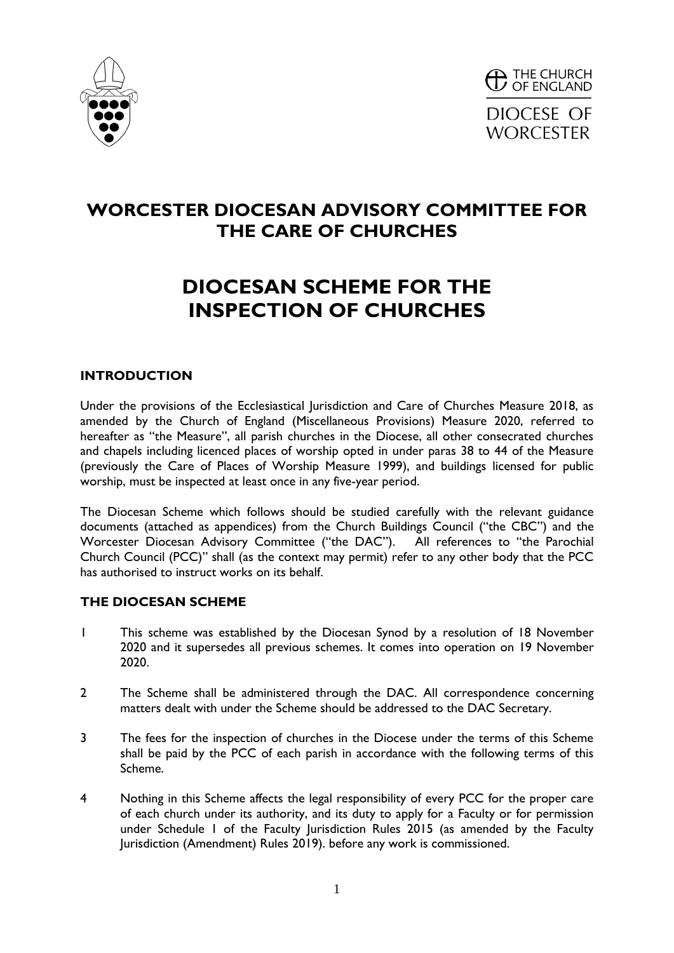



## **WORCESTER DIOCESAN ADVISORY COMMITTEE FOR THE CARE OF CHURCHES**

# **DIOCESAN SCHEME FOR THE INSPECTION OF CHURCHES**

#### **INTRODUCTION**

Under the provisions of the Ecclesiastical Jurisdiction and Care of Churches Measure 2018, as amended by the Church of England (Miscellaneous Provisions) Measure 2020, referred to hereafter as "the Measure", all parish churches in the Diocese, all other consecrated churches and chapels including licenced places of worship opted in under paras 38 to 44 of the Measure (previously the Care of Places of Worship Measure 1999), and buildings licensed for public worship, must be inspected at least once in any five-year period.

The Diocesan Scheme which follows should be studied carefully with the relevant guidance documents (attached as appendices) from the Church Buildings Council ("the CBC") and the Worcester Diocesan Advisory Committee ("the DAC"). All references to "the Parochial Church Council (PCC)" shall (as the context may permit) refer to any other body that the PCC has authorised to instruct works on its behalf.

#### **THE DIOCESAN SCHEME**

- 1 This scheme was established by the Diocesan Synod by a resolution of 18 November 2020 and it supersedes all previous schemes. It comes into operation on 19 November 2020.
- 2 The Scheme shall be administered through the DAC. All correspondence concerning matters dealt with under the Scheme should be addressed to the DAC Secretary.
- 3 The fees for the inspection of churches in the Diocese under the terms of this Scheme shall be paid by the PCC of each parish in accordance with the following terms of this Scheme.
- 4 Nothing in this Scheme affects the legal responsibility of every PCC for the proper care of each church under its authority, and its duty to apply for a Faculty or for permission under Schedule 1 of the Faculty Jurisdiction Rules 2015 (as amended by the Faculty Jurisdiction (Amendment) Rules 2019). before any work is commissioned.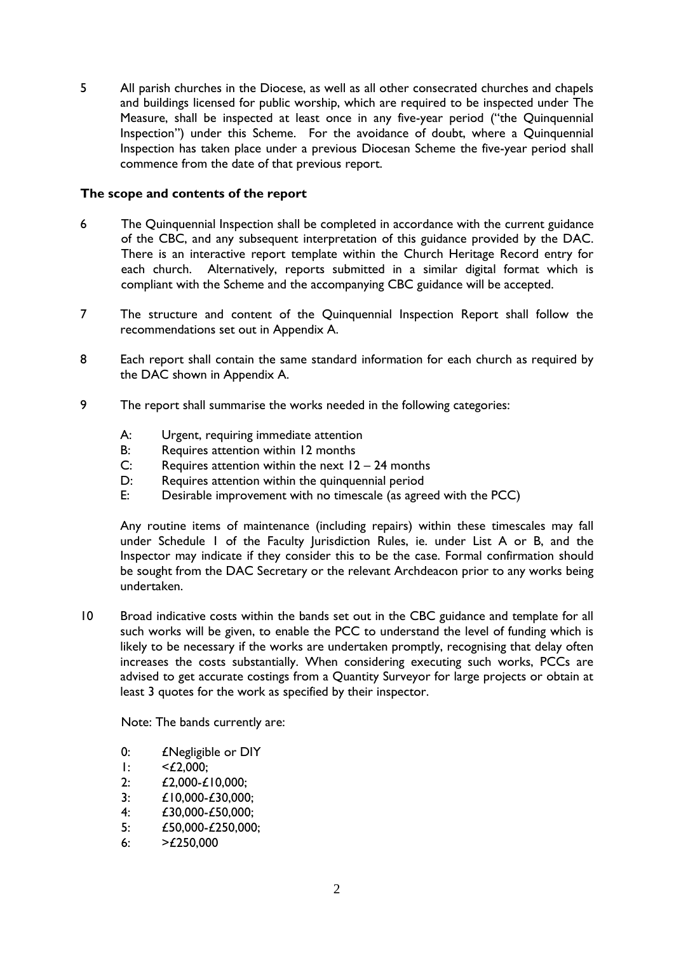5 All parish churches in the Diocese, as well as all other consecrated churches and chapels and buildings licensed for public worship, which are required to be inspected under The Measure, shall be inspected at least once in any five-year period ("the Quinquennial Inspection") under this Scheme. For the avoidance of doubt, where a Quinquennial Inspection has taken place under a previous Diocesan Scheme the five-year period shall commence from the date of that previous report.

#### **The scope and contents of the report**

- 6 The Quinquennial Inspection shall be completed in accordance with the current guidance of the CBC, and any subsequent interpretation of this guidance provided by the DAC. There is an interactive report template within the Church Heritage Record entry for each church. Alternatively, reports submitted in a similar digital format which is compliant with the Scheme and the accompanying CBC guidance will be accepted.
- 7 The structure and content of the Quinquennial Inspection Report shall follow the recommendations set out in Appendix A.
- 8 Each report shall contain the same standard information for each church as required by the DAC shown in Appendix A.
- 9 The report shall summarise the works needed in the following categories:
	- A: Urgent, requiring immediate attention
	- B: Requires attention within 12 months
	- C: Requires attention within the next  $12 24$  months
	- D: Requires attention within the quinquennial period
	- E: Desirable improvement with no timescale (as agreed with the PCC)

Any routine items of maintenance (including repairs) within these timescales may fall under Schedule 1 of the Faculty Jurisdiction Rules, ie. under List A or B, and the Inspector may indicate if they consider this to be the case. Formal confirmation should be sought from the DAC Secretary or the relevant Archdeacon prior to any works being undertaken.

10 Broad indicative costs within the bands set out in the CBC guidance and template for all such works will be given, to enable the PCC to understand the level of funding which is likely to be necessary if the works are undertaken promptly, recognising that delay often increases the costs substantially. When considering executing such works, PCCs are advised to get accurate costings from a Quantity Surveyor for large projects or obtain at least 3 quotes for the work as specified by their inspector.

Note: The bands currently are:

- 0: £Negligible or DIY
- $1:$   $\leq$   $\pounds$  2.000:
- 2: £2,000-£10,000;
- 3: £10,000-£30,000;
- 4: £30,000-£50,000;
- 5: £50,000-£250,000;
- 6:  $>£250,000$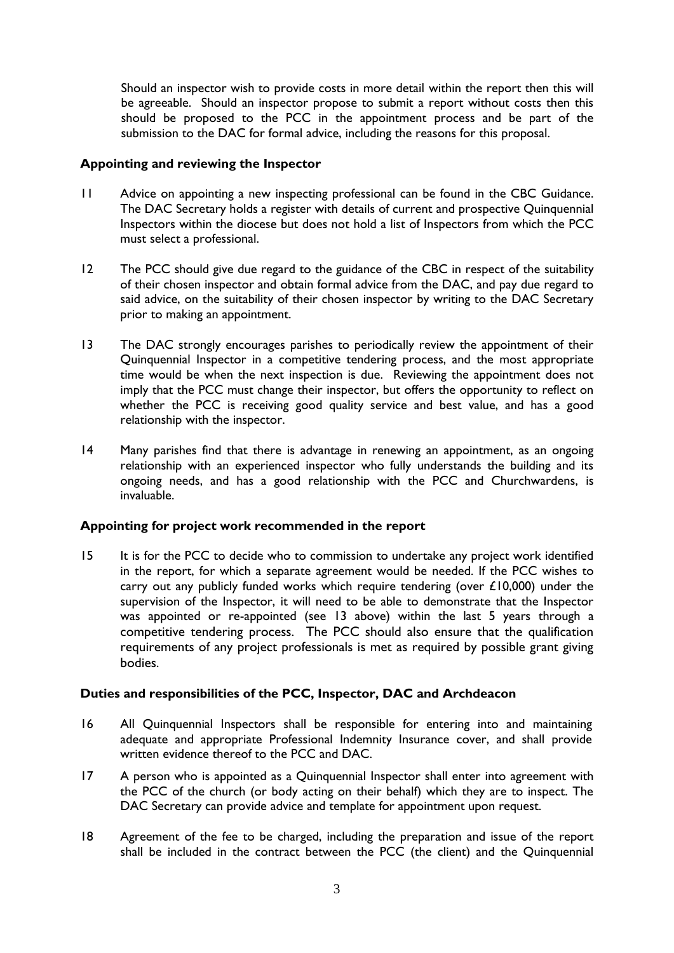Should an inspector wish to provide costs in more detail within the report then this will be agreeable. Should an inspector propose to submit a report without costs then this should be proposed to the PCC in the appointment process and be part of the submission to the DAC for formal advice, including the reasons for this proposal.

#### **Appointing and reviewing the Inspector**

- 11 Advice on appointing a new inspecting professional can be found in the CBC Guidance. The DAC Secretary holds a register with details of current and prospective Quinquennial Inspectors within the diocese but does not hold a list of Inspectors from which the PCC must select a professional.
- 12 The PCC should give due regard to the guidance of the CBC in respect of the suitability of their chosen inspector and obtain formal advice from the DAC, and pay due regard to said advice, on the suitability of their chosen inspector by writing to the DAC Secretary prior to making an appointment.
- 13 The DAC strongly encourages parishes to periodically review the appointment of their Quinquennial Inspector in a competitive tendering process, and the most appropriate time would be when the next inspection is due. Reviewing the appointment does not imply that the PCC must change their inspector, but offers the opportunity to reflect on whether the PCC is receiving good quality service and best value, and has a good relationship with the inspector.
- 14 Many parishes find that there is advantage in renewing an appointment, as an ongoing relationship with an experienced inspector who fully understands the building and its ongoing needs, and has a good relationship with the PCC and Churchwardens, is invaluable.

#### **Appointing for project work recommended in the report**

15 It is for the PCC to decide who to commission to undertake any project work identified in the report, for which a separate agreement would be needed. If the PCC wishes to carry out any publicly funded works which require tendering (over £10,000) under the supervision of the Inspector, it will need to be able to demonstrate that the Inspector was appointed or re-appointed (see 13 above) within the last 5 years through a competitive tendering process. The PCC should also ensure that the qualification requirements of any project professionals is met as required by possible grant giving bodies.

### **Duties and responsibilities of the PCC, Inspector, DAC and Archdeacon**

- 16 All Quinquennial Inspectors shall be responsible for entering into and maintaining adequate and appropriate Professional Indemnity Insurance cover, and shall provide written evidence thereof to the PCC and DAC.
- 17 A person who is appointed as a Quinquennial Inspector shall enter into agreement with the PCC of the church (or body acting on their behalf) which they are to inspect. The DAC Secretary can provide advice and template for appointment upon request.
- 18 Agreement of the fee to be charged, including the preparation and issue of the report shall be included in the contract between the PCC (the client) and the Quinquennial